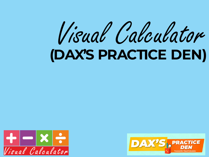# Visual Calculator **(DAX'S PRACTICE DEN)**



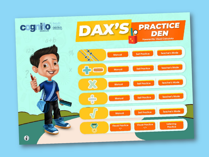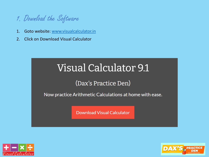

- 1. Goto website: [www.visualcalculator.in](http://www.visualcalculator.in/)
- 2. Click on Download Visual Calculator

## Visual Calculator 9.1

#### (Dax's Practice Den)

Now practice Arithmetic Calculations at home with ease.

**Download Visual Calculator** 



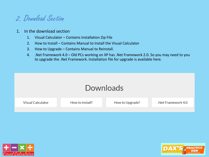### 2. Download Section

- 1. In the download section
	- 1. Visual Calculator Contains Installation Zip File
	- 2. How to Install Contains Manual to Install the Visual Calculator
	- 3. How to Upgrade Contains Manual to Reinstall.
	- 4. .Net Framework 4.0 Old PCs working on XP has .Net Framework 2.0. So you may need to you to upgrade the .Net Framework. Installation file for upgrade is available here.

| Downloads         |                 |                 |                    |  |  |  |
|-------------------|-----------------|-----------------|--------------------|--|--|--|
| Visual Calculator | How to Install? | How to Upgrade? | .Net Framework 4.0 |  |  |  |
|                   |                 |                 |                    |  |  |  |



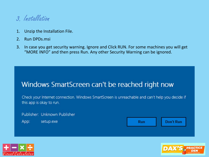

- 1. Unzip the Installation File.
- 2. Run DPDs.msi
- 3. In case you get security warning. Ignore and Click RUN. For some machines you will get "MORE INFO" and then press Run. Any other Security Warning can be ignored.

#### Windows SmartScreen can't be reached right now

Check your Internet connection. Windows SmartScreen is unreachable and can't help you decide if this app is okay to run.

Publisher: Unknown Publisher App: setup.exe **Don't Run Run** 



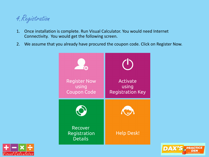

- 1. Once installation is complete. Run Visual Calculator. You would need Internet Connectivity. You would get the following screen.
- 2. We assume that you already have procured the coupon code. Click on Register Now.





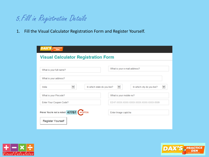

1. Fill the Visual Calculator Registration Form and Register Yourself.

| <b>DAX'S</b> PRACTICE<br><b>Visual Calculator Registration Form</b> |                                                                    |  |  |  |  |  |
|---------------------------------------------------------------------|--------------------------------------------------------------------|--|--|--|--|--|
| What is your full name?                                             | What is your e-mail address?                                       |  |  |  |  |  |
| What is your address?                                               |                                                                    |  |  |  |  |  |
| $\checkmark$<br>In which state do you live?<br>India                | $\blacktriangledown$<br>$\checkmark$<br>In which city do you live? |  |  |  |  |  |
| What is your Pincode?                                               | What is your mobile no?                                            |  |  |  |  |  |
| Enter Your Coupen Code?                                             |                                                                    |  |  |  |  |  |
| Prove You're not a robot 47757<br>ReCAPTCHA                         | Enter Image captcha                                                |  |  |  |  |  |
| <b>Register Yourself</b>                                            |                                                                    |  |  |  |  |  |



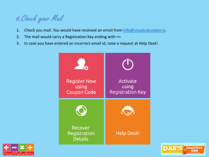

- 1. Check you mail. You would have received an email from [info@visualcalculator.in.](mailto:info@visualcalculator.in)
- 2. The mail would carry a Registration Key ending with ==
- 3. In case you have entered an incorrect email id, raise a request at Help Desk!





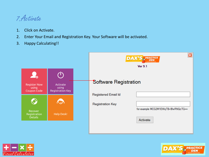#### 7.Activate

- 1. Click on Activate.
- 2. Enter Your Email and Registration Key. Your Software will be activated.
- 3. Happy Calculating!!

|                                             |                                              | <b>DAX'S</b> PRACTICE<br><b>Ver 9.1</b> |                            |                                     |
|---------------------------------------------|----------------------------------------------|-----------------------------------------|----------------------------|-------------------------------------|
| $\mathcal{L}_{\odot}$                       |                                              |                                         |                            |                                     |
| <b>Register Now</b><br>using<br>Coupon Code | Activate<br>using<br><b>Registration Key</b> |                                         | Software Registration      |                                     |
| $\bigcirc$                                  | <b>IC</b>                                    |                                         | <b>Registered Email Id</b> |                                     |
|                                             |                                              |                                         | <b>Registration Key</b>    | for example MCG2M1EWqTB+5fwRNQcTQ== |
| Recover<br>Registration<br><b>Details</b>   | <b>Help Desk!</b>                            |                                         |                            | Activate                            |
|                                             |                                              |                                         |                            |                                     |



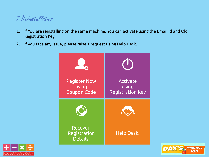### 7.Reinstallation

- 1. If You are reinstalling on the same machine. You can activate using the Email Id and Old Registration Key.
- 2. If you face any issue, please raise a request using Help Desk.





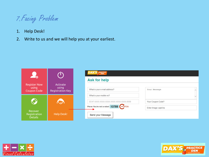

- 1. Help Desk!
- 2. Write to us and we will help you at your earliest.